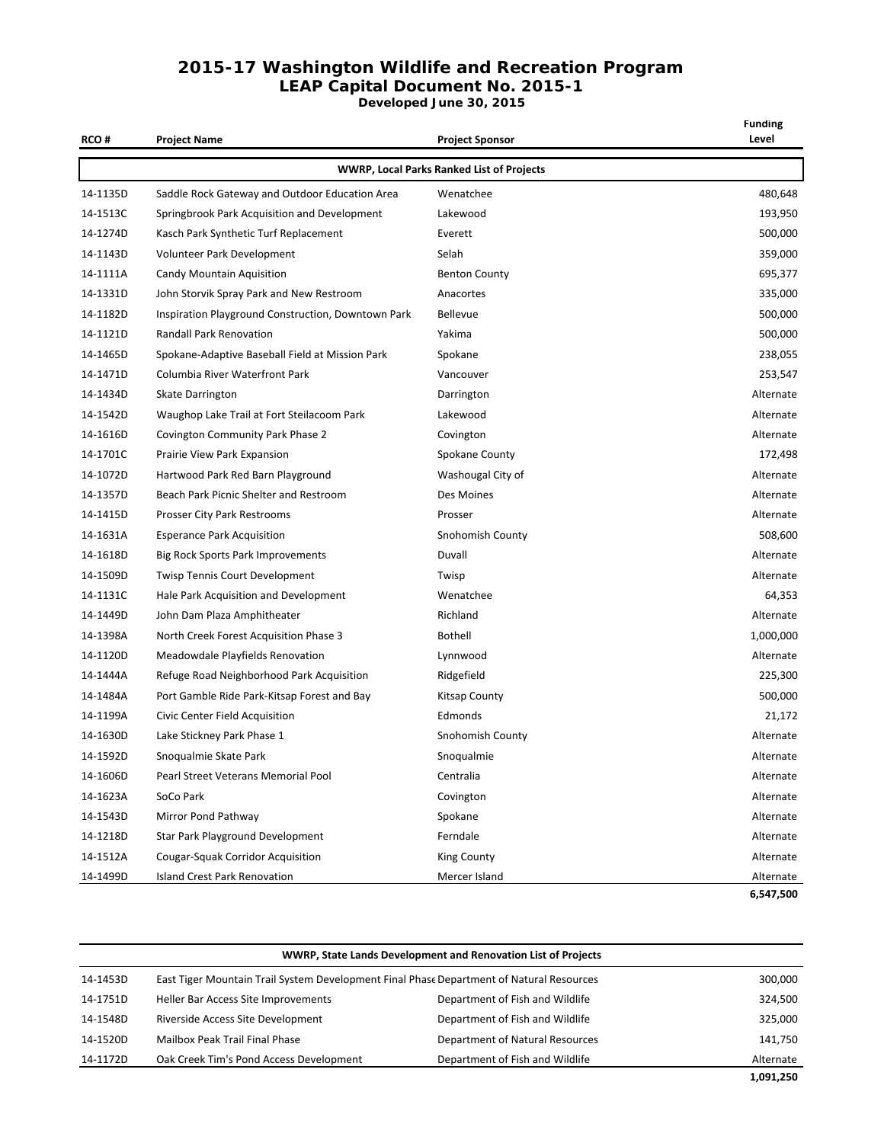#### **2015-17 Washington Wildlife and Recreation Program LEAP Capital Document No. 2015-1**

**Developed June 30, 2015**

| <b>RCO#</b> | <b>Project Name</b>                                | Project Sponsor                                  | <b>Funding</b><br>Level |
|-------------|----------------------------------------------------|--------------------------------------------------|-------------------------|
|             |                                                    | <b>WWRP, Local Parks Ranked List of Projects</b> |                         |
| 14-1135D    | Saddle Rock Gateway and Outdoor Education Area     | Wenatchee                                        | 480,648                 |
| 14-1513C    | Springbrook Park Acquisition and Development       | Lakewood                                         | 193,950                 |
| 14-1274D    | Kasch Park Synthetic Turf Replacement              | Everett                                          | 500,000                 |
| 14-1143D    | Volunteer Park Development                         | Selah                                            | 359,000                 |
| 14-1111A    | Candy Mountain Aquisition                          | <b>Benton County</b>                             | 695,377                 |
| 14-1331D    | John Storvik Spray Park and New Restroom           | Anacortes                                        | 335,000                 |
| 14-1182D    | Inspiration Playground Construction, Downtown Park | Bellevue                                         | 500,000                 |
| 14-1121D    | <b>Randall Park Renovation</b>                     | Yakima                                           | 500,000                 |
| 14-1465D    | Spokane-Adaptive Baseball Field at Mission Park    | Spokane                                          | 238,055                 |
| 14-1471D    | Columbia River Waterfront Park                     | Vancouver                                        | 253,547                 |
| 14-1434D    | Skate Darrington                                   | Darrington                                       | Alternate               |
| 14-1542D    | Waughop Lake Trail at Fort Steilacoom Park         | Lakewood                                         | Alternate               |
| 14-1616D    | <b>Covington Community Park Phase 2</b>            | Covington                                        | Alternate               |
| 14-1701C    | Prairie View Park Expansion                        | Spokane County                                   | 172,498                 |
| 14-1072D    | Hartwood Park Red Barn Playground                  | Washougal City of                                | Alternate               |
| 14-1357D    | Beach Park Picnic Shelter and Restroom             | Des Moines                                       | Alternate               |
| 14-1415D    | Prosser City Park Restrooms                        | Prosser                                          | Alternate               |
| 14-1631A    | <b>Esperance Park Acquisition</b>                  | Snohomish County                                 | 508,600                 |
| 14-1618D    | Big Rock Sports Park Improvements                  | Duvall                                           | Alternate               |
| 14-1509D    | <b>Twisp Tennis Court Development</b>              | Twisp                                            | Alternate               |
| 14-1131C    | Hale Park Acquisition and Development              | Wenatchee                                        | 64,353                  |
| 14-1449D    | John Dam Plaza Amphitheater                        | Richland                                         | Alternate               |
| 14-1398A    | North Creek Forest Acquisition Phase 3             | Bothell                                          | 1,000,000               |
| 14-1120D    | Meadowdale Playfields Renovation                   | Lynnwood                                         | Alternate               |
| 14-1444A    | Refuge Road Neighborhood Park Acquisition          | Ridgefield                                       | 225,300                 |
| 14-1484A    | Port Gamble Ride Park-Kitsap Forest and Bay        | Kitsap County                                    | 500,000                 |
| 14-1199A    | Civic Center Field Acquisition                     | Edmonds                                          | 21,172                  |
| 14-1630D    | Lake Stickney Park Phase 1                         | <b>Snohomish County</b>                          | Alternate               |
| 14-1592D    | Snoqualmie Skate Park                              | Snoqualmie                                       | Alternate               |
| 14-1606D    | Pearl Street Veterans Memorial Pool                | Centralia                                        | Alternate               |
| 14-1623A    | SoCo Park                                          | Covington                                        | Alternate               |
| 14-1543D    | Mirror Pond Pathway                                | Spokane                                          | Alternate               |
| 14-1218D    | Star Park Playground Development                   | Ferndale                                         | Alternate               |
| 14-1512A    | <b>Cougar-Squak Corridor Acquisition</b>           | <b>King County</b>                               | Alternate               |
| 14-1499D    | <b>Island Crest Park Renovation</b>                | Mercer Island                                    | Alternate               |
|             |                                                    |                                                  | 6,547,500               |

|          | WWRP, State Lands Development and Renovation List of Projects                                       |                                 |           |  |
|----------|-----------------------------------------------------------------------------------------------------|---------------------------------|-----------|--|
| 14-1453D | East Tiger Mountain Trail System Development Final Phase Department of Natural Resources<br>300,000 |                                 |           |  |
| 14-1751D | Heller Bar Access Site Improvements                                                                 | Department of Fish and Wildlife | 324,500   |  |
| 14-1548D | Riverside Access Site Development                                                                   | Department of Fish and Wildlife | 325,000   |  |
| 14-1520D | Mailbox Peak Trail Final Phase                                                                      | Department of Natural Resources | 141,750   |  |
| 14-1172D | Oak Creek Tim's Pond Access Development                                                             | Department of Fish and Wildlife | Alternate |  |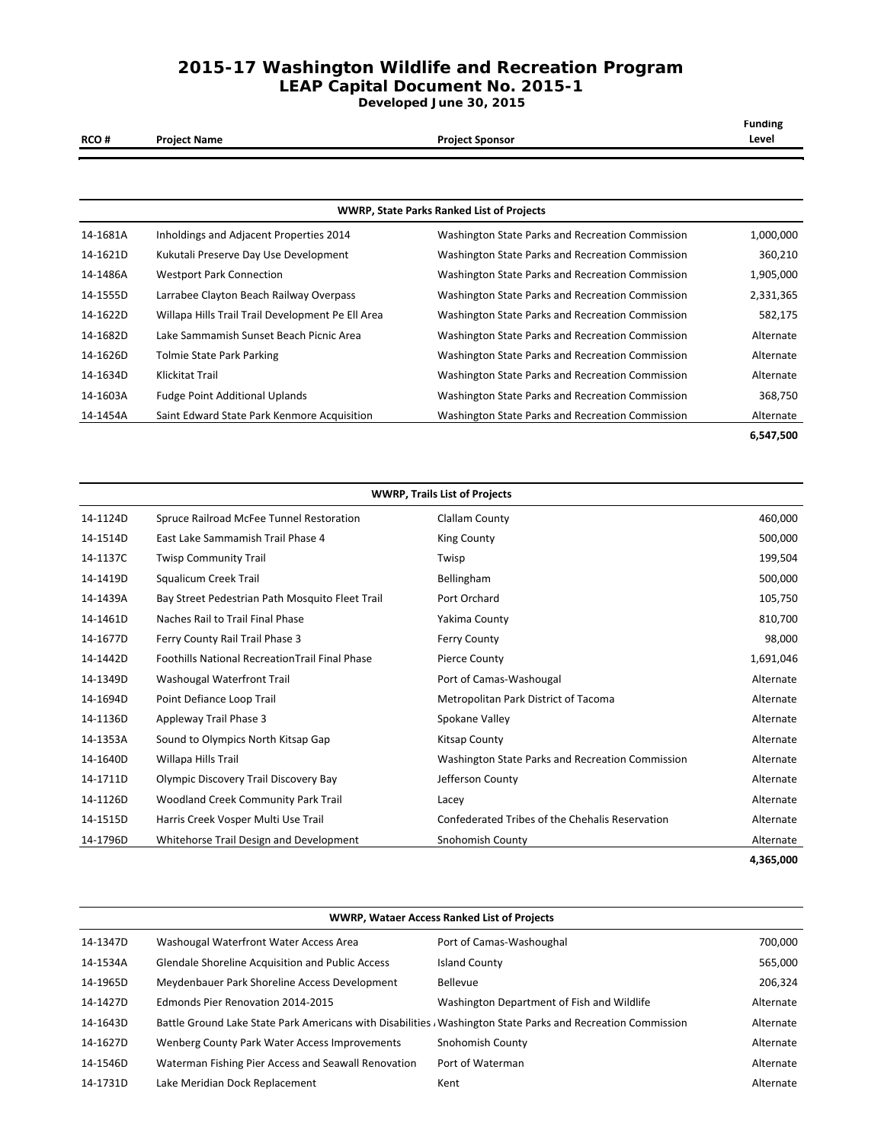#### **2015-17 Washington Wildlife and Recreation Program LEAP Capital Document No. 2015-1**

**Developed June 30, 2015**

| <b>RCO#</b> | <b>Project Name</b>                               | <b>Project Sponsor</b>                           | <b>Funding</b><br>Level |
|-------------|---------------------------------------------------|--------------------------------------------------|-------------------------|
|             |                                                   |                                                  |                         |
|             |                                                   | <b>WWRP, State Parks Ranked List of Projects</b> |                         |
| 14-1681A    | Inholdings and Adjacent Properties 2014           | Washington State Parks and Recreation Commission | 1,000,000               |
| 14-1621D    | Kukutali Preserve Day Use Development             | Washington State Parks and Recreation Commission | 360,210                 |
| 14-1486A    | <b>Westport Park Connection</b>                   | Washington State Parks and Recreation Commission | 1,905,000               |
| 14-1555D    | Larrabee Clayton Beach Railway Overpass           | Washington State Parks and Recreation Commission | 2,331,365               |
| 14-1622D    | Willapa Hills Trail Trail Development Pe Ell Area | Washington State Parks and Recreation Commission | 582,175                 |
| 14-1682D    | Lake Sammamish Sunset Beach Picnic Area           | Washington State Parks and Recreation Commission | Alternate               |
| 14-1626D    | Tolmie State Park Parking                         | Washington State Parks and Recreation Commission | Alternate               |
| 14-1634D    | Klickitat Trail                                   | Washington State Parks and Recreation Commission | Alternate               |
| 14-1603A    | <b>Fudge Point Additional Uplands</b>             | Washington State Parks and Recreation Commission | 368,750                 |
| 14-1454A    | Saint Edward State Park Kenmore Acquisition       | Washington State Parks and Recreation Commission | Alternate               |
|             |                                                   |                                                  | 6,547,500               |

| <b>WWRP, Trails List of Projects</b> |                                                       |                                                  |           |
|--------------------------------------|-------------------------------------------------------|--------------------------------------------------|-----------|
| 14-1124D                             | Spruce Railroad McFee Tunnel Restoration              | Clallam County                                   | 460,000   |
| 14-1514D                             | East Lake Sammamish Trail Phase 4                     | <b>King County</b>                               | 500,000   |
| 14-1137C                             | <b>Twisp Community Trail</b>                          | Twisp                                            | 199,504   |
| 14-1419D                             | Squalicum Creek Trail                                 | Bellingham                                       | 500,000   |
| 14-1439A                             | Bay Street Pedestrian Path Mosquito Fleet Trail       | Port Orchard                                     | 105,750   |
| 14-1461D                             | Naches Rail to Trail Final Phase                      | Yakima County                                    | 810,700   |
| 14-1677D                             | Ferry County Rail Trail Phase 3                       | Ferry County                                     | 98,000    |
| 14-1442D                             | <b>Foothills National RecreationTrail Final Phase</b> | <b>Pierce County</b>                             | 1,691,046 |
| 14-1349D                             | Washougal Waterfront Trail                            | Port of Camas-Washougal                          | Alternate |
| 14-1694D                             | Point Defiance Loop Trail                             | Metropolitan Park District of Tacoma             | Alternate |
| 14-1136D                             | Appleway Trail Phase 3                                | Spokane Valley                                   | Alternate |
| 14-1353A                             | Sound to Olympics North Kitsap Gap                    | Kitsap County                                    | Alternate |
| 14-1640D                             | Willapa Hills Trail                                   | Washington State Parks and Recreation Commission | Alternate |
| 14-1711D                             | Olympic Discovery Trail Discovery Bay                 | Jefferson County                                 | Alternate |
| 14-1126D                             | Woodland Creek Community Park Trail                   | Lacey                                            | Alternate |
| 14-1515D                             | Harris Creek Vosper Multi Use Trail                   | Confederated Tribes of the Chehalis Reservation  | Alternate |
| 14-1796D                             | Whitehorse Trail Design and Development               | Snohomish County                                 | Alternate |
|                                      |                                                       |                                                  | 4,365,000 |

| <b>WWRP, Wataer Access Ranked List of Projects</b> |                                                                                                              |                                            |           |
|----------------------------------------------------|--------------------------------------------------------------------------------------------------------------|--------------------------------------------|-----------|
| 14-1347D                                           | Washougal Waterfront Water Access Area                                                                       | Port of Camas-Washoughal                   | 700,000   |
| 14-1534A                                           | <b>Glendale Shoreline Acquisition and Public Access</b>                                                      | <b>Island County</b>                       | 565,000   |
| 14-1965D                                           | Meydenbauer Park Shoreline Access Development                                                                | Bellevue                                   | 206,324   |
| 14-1427D                                           | Edmonds Pier Renovation 2014-2015                                                                            | Washington Department of Fish and Wildlife | Alternate |
| 14-1643D                                           | Battle Ground Lake State Park Americans with Disabilities , Washington State Parks and Recreation Commission |                                            | Alternate |
| 14-1627D                                           | Wenberg County Park Water Access Improvements                                                                | Snohomish County                           | Alternate |
| 14-1546D                                           | Waterman Fishing Pier Access and Seawall Renovation                                                          | Port of Waterman                           | Alternate |
| 14-1731D                                           | Lake Meridian Dock Replacement                                                                               | Kent                                       | Alternate |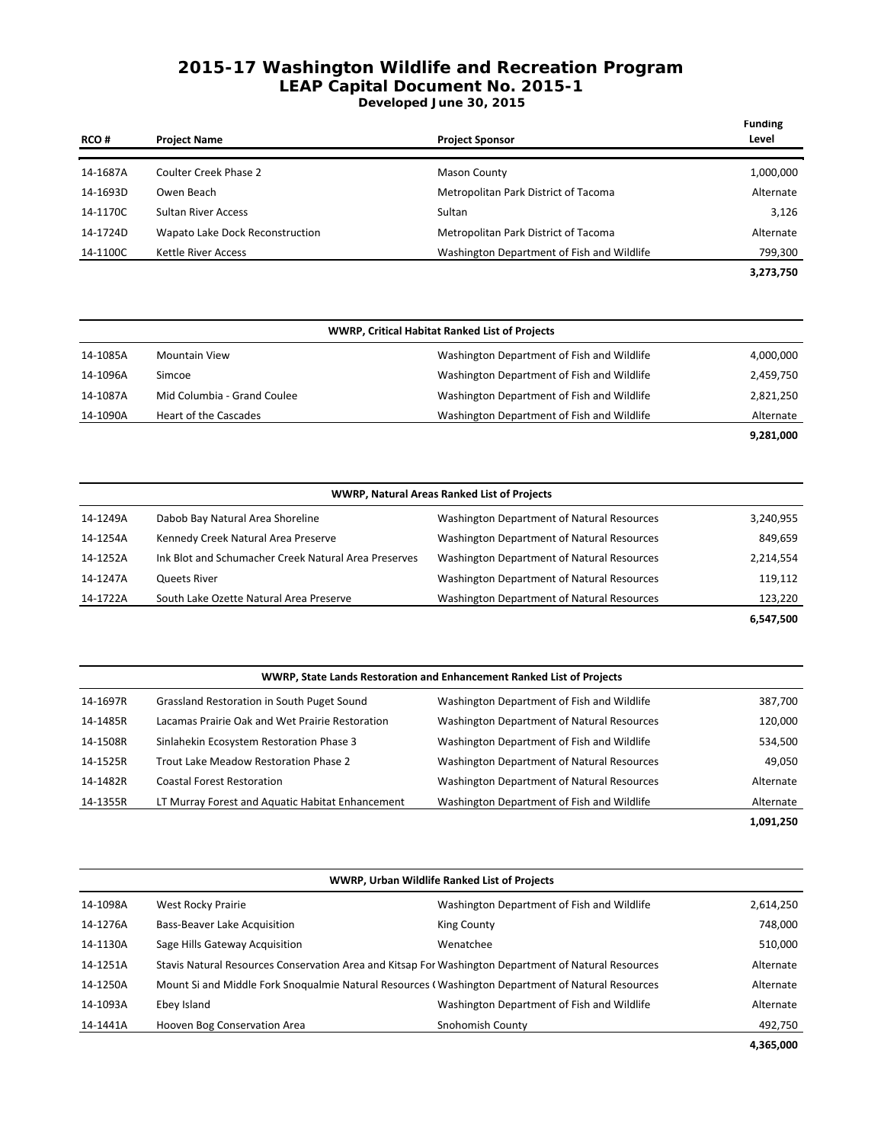# **2015-17 Washington Wildlife and Recreation Program LEAP Capital Document No. 2015-1**

### **Developed June 30, 2015**

| <b>RCO#</b> | <b>Project Name</b>             | <b>Project Sponsor</b>                     | <b>Funding</b><br>Level |
|-------------|---------------------------------|--------------------------------------------|-------------------------|
| 14-1687A    | Coulter Creek Phase 2           | <b>Mason County</b>                        | 1,000,000               |
| 14-1693D    | Owen Beach                      | Metropolitan Park District of Tacoma       | Alternate               |
| 14-1170C    | <b>Sultan River Access</b>      | Sultan                                     | 3,126                   |
| 14-1724D    | Wapato Lake Dock Reconstruction | Metropolitan Park District of Tacoma       | Alternate               |
| 14-1100C    | <b>Kettle River Access</b>      | Washington Department of Fish and Wildlife | 799,300                 |
|             |                                 |                                            | 3,273,750               |

|          | <b>WWRP, Critical Habitat Ranked List of Projects</b> |                                            |           |  |
|----------|-------------------------------------------------------|--------------------------------------------|-----------|--|
| 14-1085A | <b>Mountain View</b>                                  | Washington Department of Fish and Wildlife | 4,000,000 |  |
| 14-1096A | Simcoe                                                | Washington Department of Fish and Wildlife | 2,459,750 |  |
| 14-1087A | Mid Columbia - Grand Coulee                           | Washington Department of Fish and Wildlife | 2,821,250 |  |
| 14-1090A | Heart of the Cascades                                 | Washington Department of Fish and Wildlife | Alternate |  |
|          |                                                       |                                            | 9,281,000 |  |

|          | <b>WWRP, Natural Areas Ranked List of Projects</b>   |                                            |           |  |
|----------|------------------------------------------------------|--------------------------------------------|-----------|--|
| 14-1249A | Dabob Bay Natural Area Shoreline                     | Washington Department of Natural Resources | 3,240,955 |  |
| 14-1254A | Kennedy Creek Natural Area Preserve                  | Washington Department of Natural Resources | 849,659   |  |
| 14-1252A | Ink Blot and Schumacher Creek Natural Area Preserves | Washington Department of Natural Resources | 2,214,554 |  |
| 14-1247A | Queets River                                         | Washington Department of Natural Resources | 119,112   |  |
| 14-1722A | South Lake Ozette Natural Area Preserve              | Washington Department of Natural Resources | 123,220   |  |
|          |                                                      |                                            | 6,547,500 |  |

| WWRP, State Lands Restoration and Enhancement Ranked List of Projects |                                                  |                                            |           |
|-----------------------------------------------------------------------|--------------------------------------------------|--------------------------------------------|-----------|
| 14-1697R                                                              | Grassland Restoration in South Puget Sound       | Washington Department of Fish and Wildlife | 387,700   |
| 14-1485R                                                              | Lacamas Prairie Oak and Wet Prairie Restoration  | Washington Department of Natural Resources | 120,000   |
| 14-1508R                                                              | Sinlahekin Ecosystem Restoration Phase 3         | Washington Department of Fish and Wildlife | 534,500   |
| 14-1525R                                                              | Trout Lake Meadow Restoration Phase 2            | Washington Department of Natural Resources | 49,050    |
| 14-1482R                                                              | <b>Coastal Forest Restoration</b>                | Washington Department of Natural Resources | Alternate |
| 14-1355R                                                              | LT Murray Forest and Aquatic Habitat Enhancement | Washington Department of Fish and Wildlife | Alternate |
|                                                                       |                                                  |                                            | 1,091,250 |

| <b>WWRP, Urban Wildlife Ranked List of Projects</b> |                                |                                                                                                      |           |
|-----------------------------------------------------|--------------------------------|------------------------------------------------------------------------------------------------------|-----------|
| 14-1098A                                            | West Rocky Prairie             | Washington Department of Fish and Wildlife                                                           | 2,614,250 |
| 14-1276A                                            | Bass-Beaver Lake Acquisition   | King County                                                                                          | 748,000   |
| 14-1130A                                            | Sage Hills Gateway Acquisition | Wenatchee                                                                                            | 510,000   |
| 14-1251A                                            |                                | Stavis Natural Resources Conservation Area and Kitsap For Washington Department of Natural Resources | Alternate |
| 14-1250A                                            |                                | Mount Si and Middle Fork Snogualmie Natural Resources (Washington Department of Natural Resources    | Alternate |
| 14-1093A                                            | Ebey Island                    | Washington Department of Fish and Wildlife                                                           | Alternate |
| 14-1441A                                            | Hooven Bog Conservation Area   | Snohomish County                                                                                     | 492,750   |

 **4,365,000**